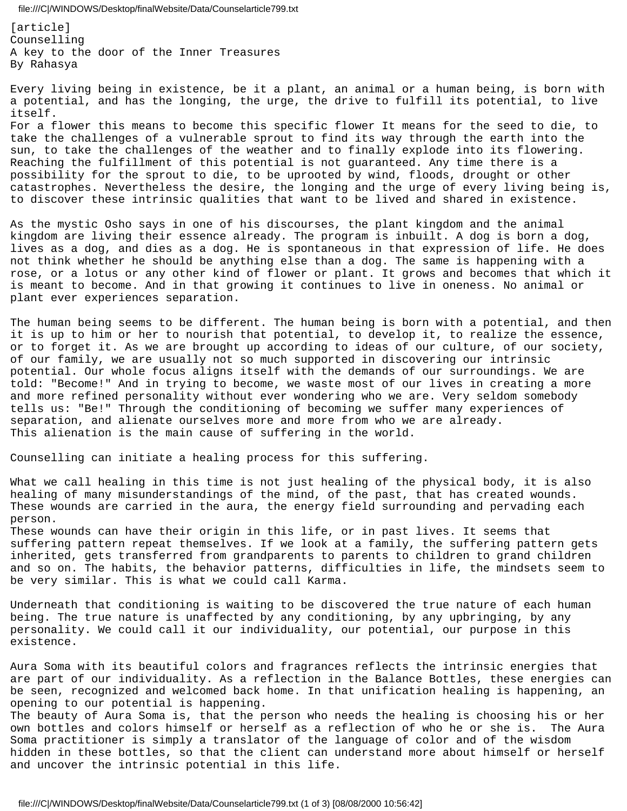file:///C|/WINDOWS/Desktop/finalWebsite/Data/Counselarticle799.txt

[article] Counselling A key to the door of the Inner Treasures By Rahasya

Every living being in existence, be it a plant, an animal or a human being, is born with a potential, and has the longing, the urge, the drive to fulfill its potential, to live itself.

For a flower this means to become this specific flower It means for the seed to die, to take the challenges of a vulnerable sprout to find its way through the earth into the sun, to take the challenges of the weather and to finally explode into its flowering. Reaching the fulfillment of this potential is not guaranteed. Any time there is a possibility for the sprout to die, to be uprooted by wind, floods, drought or other catastrophes. Nevertheless the desire, the longing and the urge of every living being is, to discover these intrinsic qualities that want to be lived and shared in existence.

As the mystic Osho says in one of his discourses, the plant kingdom and the animal kingdom are living their essence already. The program is inbuilt. A dog is born a dog, lives as a dog, and dies as a dog. He is spontaneous in that expression of life. He does not think whether he should be anything else than a dog. The same is happening with a rose, or a lotus or any other kind of flower or plant. It grows and becomes that which it is meant to become. And in that growing it continues to live in oneness. No animal or plant ever experiences separation.

The human being seems to be different. The human being is born with a potential, and then it is up to him or her to nourish that potential, to develop it, to realize the essence, or to forget it. As we are brought up according to ideas of our culture, of our society, of our family, we are usually not so much supported in discovering our intrinsic potential. Our whole focus aligns itself with the demands of our surroundings. We are told: "Become!" And in trying to become, we waste most of our lives in creating a more and more refined personality without ever wondering who we are. Very seldom somebody tells us: "Be!" Through the conditioning of becoming we suffer many experiences of separation, and alienate ourselves more and more from who we are already. This alienation is the main cause of suffering in the world.

Counselling can initiate a healing process for this suffering.

What we call healing in this time is not just healing of the physical body, it is also healing of many misunderstandings of the mind, of the past, that has created wounds. These wounds are carried in the aura, the energy field surrounding and pervading each person.

These wounds can have their origin in this life, or in past lives. It seems that suffering pattern repeat themselves. If we look at a family, the suffering pattern gets inherited, gets transferred from grandparents to parents to children to grand children and so on. The habits, the behavior patterns, difficulties in life, the mindsets seem to be very similar. This is what we could call Karma.

Underneath that conditioning is waiting to be discovered the true nature of each human being. The true nature is unaffected by any conditioning, by any upbringing, by any personality. We could call it our individuality, our potential, our purpose in this existence.

Aura Soma with its beautiful colors and fragrances reflects the intrinsic energies that are part of our individuality. As a reflection in the Balance Bottles, these energies can be seen, recognized and welcomed back home. In that unification healing is happening, an opening to our potential is happening.

The beauty of Aura Soma is, that the person who needs the healing is choosing his or her own bottles and colors himself or herself as a reflection of who he or she is. The Aura Soma practitioner is simply a translator of the language of color and of the wisdom hidden in these bottles, so that the client can understand more about himself or herself and uncover the intrinsic potential in this life.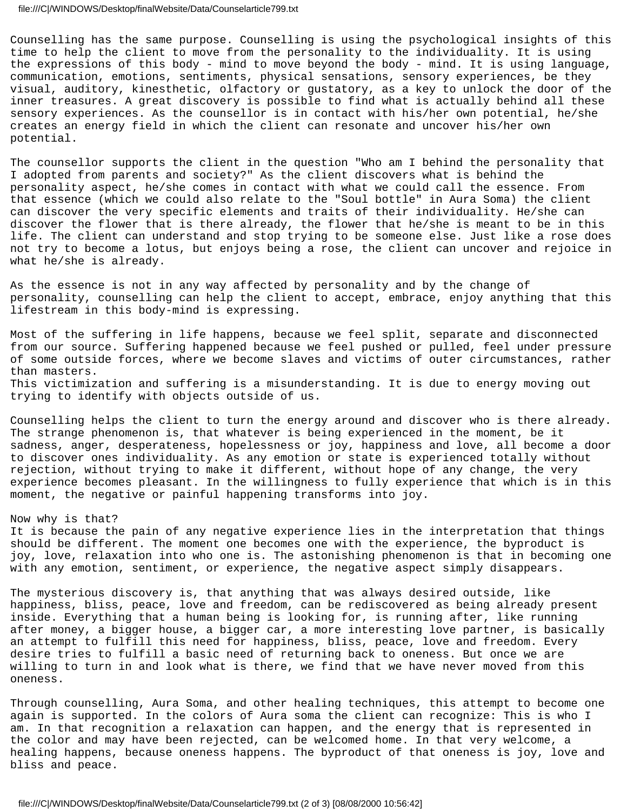## file:///C|/WINDOWS/Desktop/finalWebsite/Data/Counselarticle799.txt

Counselling has the same purpose. Counselling is using the psychological insights of this time to help the client to move from the personality to the individuality. It is using the expressions of this body - mind to move beyond the body - mind. It is using language, communication, emotions, sentiments, physical sensations, sensory experiences, be they visual, auditory, kinesthetic, olfactory or gustatory, as a key to unlock the door of the inner treasures. A great discovery is possible to find what is actually behind all these sensory experiences. As the counsellor is in contact with his/her own potential, he/she creates an energy field in which the client can resonate and uncover his/her own potential.

The counsellor supports the client in the question "Who am I behind the personality that I adopted from parents and society?" As the client discovers what is behind the personality aspect, he/she comes in contact with what we could call the essence. From that essence (which we could also relate to the "Soul bottle" in Aura Soma) the client can discover the very specific elements and traits of their individuality. He/she can discover the flower that is there already, the flower that he/she is meant to be in this life. The client can understand and stop trying to be someone else. Just like a rose does not try to become a lotus, but enjoys being a rose, the client can uncover and rejoice in what he/she is already.

As the essence is not in any way affected by personality and by the change of personality, counselling can help the client to accept, embrace, enjoy anything that this lifestream in this body-mind is expressing.

Most of the suffering in life happens, because we feel split, separate and disconnected from our source. Suffering happened because we feel pushed or pulled, feel under pressure of some outside forces, where we become slaves and victims of outer circumstances, rather than masters. This victimization and suffering is a misunderstanding. It is due to energy moving out trying to identify with objects outside of us.

Counselling helps the client to turn the energy around and discover who is there already. The strange phenomenon is, that whatever is being experienced in the moment, be it sadness, anger, desperateness, hopelessness or joy, happiness and love, all become a door to discover ones individuality. As any emotion or state is experienced totally without rejection, without trying to make it different, without hope of any change, the very experience becomes pleasant. In the willingness to fully experience that which is in this moment, the negative or painful happening transforms into joy.

## Now why is that?

It is because the pain of any negative experience lies in the interpretation that things should be different. The moment one becomes one with the experience, the byproduct is joy, love, relaxation into who one is. The astonishing phenomenon is that in becoming one with any emotion, sentiment, or experience, the negative aspect simply disappears.

The mysterious discovery is, that anything that was always desired outside, like happiness, bliss, peace, love and freedom, can be rediscovered as being already present inside. Everything that a human being is looking for, is running after, like running after money, a bigger house, a bigger car, a more interesting love partner, is basically an attempt to fulfill this need for happiness, bliss, peace, love and freedom. Every desire tries to fulfill a basic need of returning back to oneness. But once we are willing to turn in and look what is there, we find that we have never moved from this oneness.

Through counselling, Aura Soma, and other healing techniques, this attempt to become one again is supported. In the colors of Aura soma the client can recognize: This is who I am. In that recognition a relaxation can happen, and the energy that is represented in the color and may have been rejected, can be welcomed home. In that very welcome, a healing happens, because oneness happens. The byproduct of that oneness is joy, love and bliss and peace.